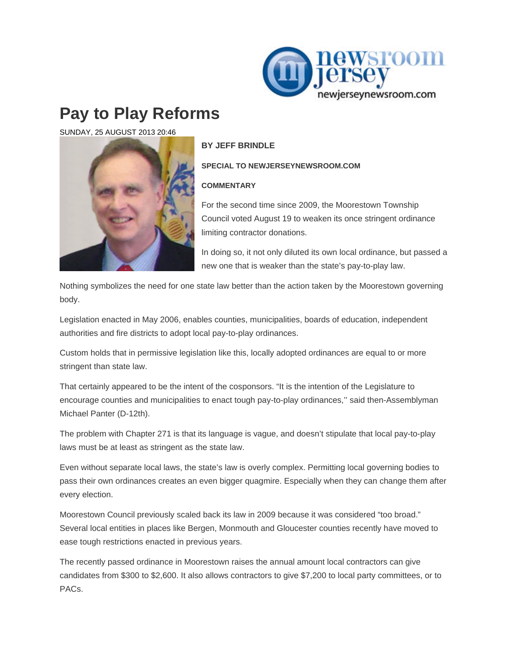

## **Pay to Play Reforms**

SUNDAY, 25 AUGUST 2013 20:46



## **BY JEFF BRINDLE**

**SPECIAL TO NEWJERSEYNEWSROOM.COM** 

## **COMMENTARY**

For the second time since 2009, the Moorestown Township Council voted August 19 to weaken its once stringent ordinance limiting contractor donations.

In doing so, it not only diluted its own local ordinance, but passed a new one that is weaker than the state's pay-to-play law.

Nothing symbolizes the need for one state law better than the action taken by the Moorestown governing body.

Legislation enacted in May 2006, enables counties, municipalities, boards of education, independent authorities and fire districts to adopt local pay-to-play ordinances.

Custom holds that in permissive legislation like this, locally adopted ordinances are equal to or more stringent than state law.

That certainly appeared to be the intent of the cosponsors. "It is the intention of the Legislature to encourage counties and municipalities to enact tough pay-to-play ordinances,'' said then-Assemblyman Michael Panter (D-12th).

The problem with Chapter 271 is that its language is vague, and doesn't stipulate that local pay-to-play laws must be at least as stringent as the state law.

Even without separate local laws, the state's law is overly complex. Permitting local governing bodies to pass their own ordinances creates an even bigger quagmire. Especially when they can change them after every election.

Moorestown Council previously scaled back its law in 2009 because it was considered "too broad." Several local entities in places like Bergen, Monmouth and Gloucester counties recently have moved to ease tough restrictions enacted in previous years.

The recently passed ordinance in Moorestown raises the annual amount local contractors can give candidates from \$300 to \$2,600. It also allows contractors to give \$7,200 to local party committees, or to PACs.